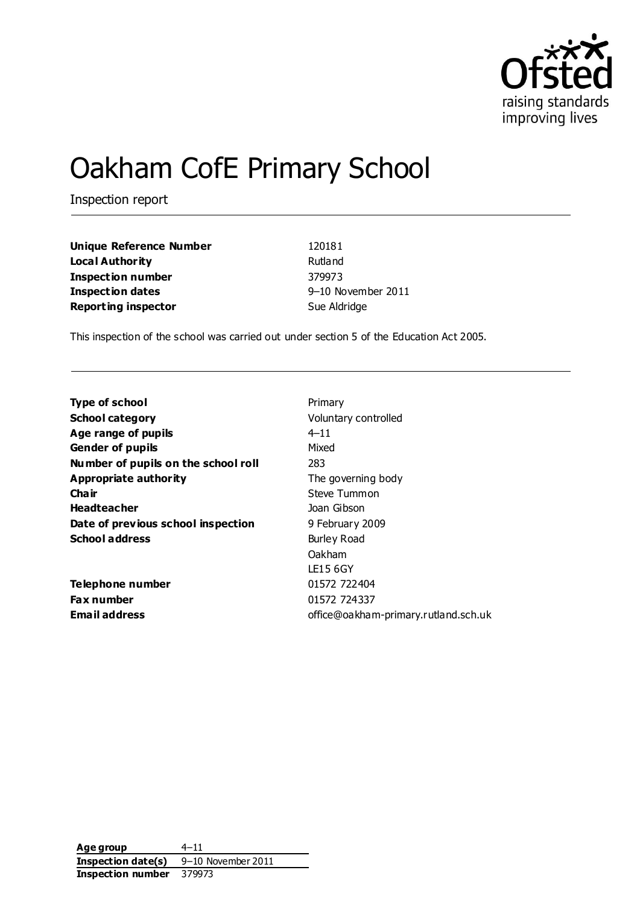

# Oakham CofE Primary School

Inspection report

**Unique Reference Number** 120181 **Local Authority Rutland Inspection number** 379973 **Inspection dates** 9–10 November 2011 **Reporting inspector** Sue Aldridge

This inspection of the school was carried out under section 5 of the Education Act 2005.

| <b>Type of school</b>               | Primary                              |
|-------------------------------------|--------------------------------------|
| <b>School category</b>              | Voluntary controlled                 |
| Age range of pupils                 | $4 - 11$                             |
| <b>Gender of pupils</b>             | Mixed                                |
| Number of pupils on the school roll | 283                                  |
| Appropriate authority               | The governing body                   |
| Cha ir                              | Steve Tummon                         |
| <b>Headteacher</b>                  | Joan Gibson                          |
| Date of previous school inspection  | 9 February 2009                      |
| <b>School address</b>               | Burley Road                          |
|                                     | Oakham                               |
|                                     | LE15 6GY                             |
| Telephone number                    | 01572 722404                         |
| <b>Fax number</b>                   | 01572 724337                         |
| <b>Email address</b>                | office@oakham-primary.rutland.sch.uk |
|                                     |                                      |

**Age group** 4–11 **Inspection date(s)** 9–10 November 2011 **Inspection number** 379973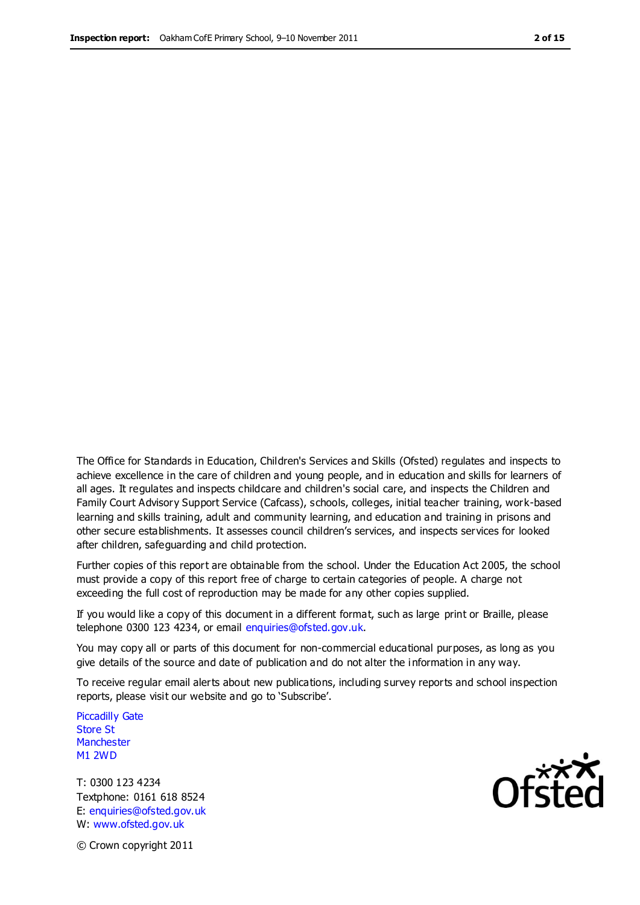The Office for Standards in Education, Children's Services and Skills (Ofsted) regulates and inspects to achieve excellence in the care of children and young people, and in education and skills for learners of all ages. It regulates and inspects childcare and children's social care, and inspects the Children and Family Court Advisory Support Service (Cafcass), schools, colleges, initial teacher training, work-based learning and skills training, adult and community learning, and education and training in prisons and other secure establishments. It assesses council children's services, and inspects services for looked after children, safeguarding and child protection.

Further copies of this report are obtainable from the school. Under the Education Act 2005, the school must provide a copy of this report free of charge to certain categories of people. A charge not exceeding the full cost of reproduction may be made for any other copies supplied.

If you would like a copy of this document in a different format, such as large print or Braille, please telephone 0300 123 4234, or email enquiries@ofsted.gov.uk.

You may copy all or parts of this document for non-commercial educational purposes, as long as you give details of the source and date of publication and do not alter the i nformation in any way.

To receive regular email alerts about new publications, including survey reports and school inspection reports, please visit our website and go to 'Subscribe'.

Piccadilly Gate Store St **Manchester** M1 2WD

T: 0300 123 4234 Textphone: 0161 618 8524 E: enquiries@ofsted.gov.uk W: www.ofsted.gov.uk

**Ofsted** 

© Crown copyright 2011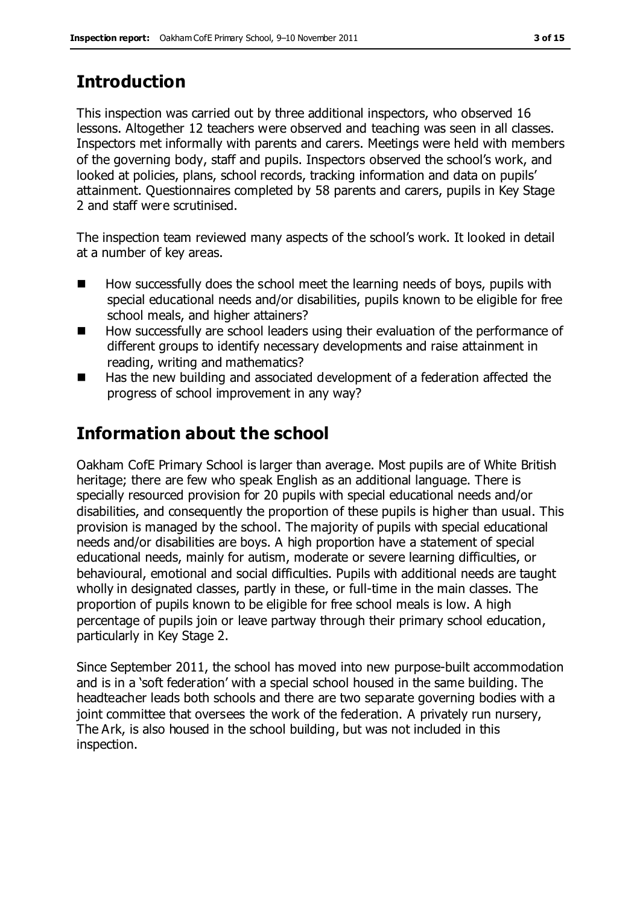### **Introduction**

This inspection was carried out by three additional inspectors, who observed 16 lessons. Altogether 12 teachers were observed and teaching was seen in all classes. Inspectors met informally with parents and carers. Meetings were held with members of the governing body, staff and pupils. Inspectors observed the school's work, and looked at policies, plans, school records, tracking information and data on pupils' attainment. Questionnaires completed by 58 parents and carers, pupils in Key Stage 2 and staff were scrutinised.

The inspection team reviewed many aspects of the school's work. It looked in detail at a number of key areas.

- $\blacksquare$  How successfully does the school meet the learning needs of boys, pupils with special educational needs and/or disabilities, pupils known to be eligible for free school meals, and higher attainers?
- $\blacksquare$  How successfully are school leaders using their evaluation of the performance of different groups to identify necessary developments and raise attainment in reading, writing and mathematics?
- Has the new building and associated development of a federation affected the progress of school improvement in any way?

### **Information about the school**

Oakham CofE Primary School is larger than average. Most pupils are of White British heritage; there are few who speak English as an additional language. There is specially resourced provision for 20 pupils with special educational needs and/or disabilities, and consequently the proportion of these pupils is higher than usual. This provision is managed by the school. The majority of pupils with special educational needs and/or disabilities are boys. A high proportion have a statement of special educational needs, mainly for autism, moderate or severe learning difficulties, or behavioural, emotional and social difficulties. Pupils with additional needs are taught wholly in designated classes, partly in these, or full-time in the main classes. The proportion of pupils known to be eligible for free school meals is low. A high percentage of pupils join or leave partway through their primary school education, particularly in Key Stage 2.

Since September 2011, the school has moved into new purpose-built accommodation and is in a 'soft federation' with a special school housed in the same building. The headteacher leads both schools and there are two separate governing bodies with a joint committee that oversees the work of the federation. A privately run nursery, The Ark, is also housed in the school building, but was not included in this inspection.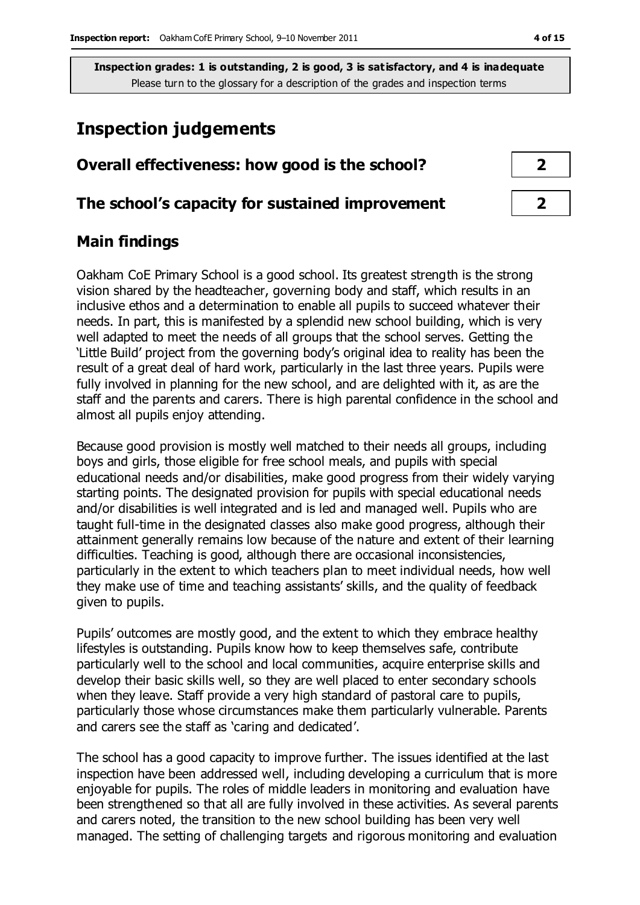### **Inspection judgements**

#### **Overall effectiveness: how good is the school? 2**

#### **The school's capacity for sustained improvement 2**

#### **Main findings**

Oakham CoE Primary School is a good school. Its greatest strength is the strong vision shared by the headteacher, governing body and staff, which results in an inclusive ethos and a determination to enable all pupils to succeed whatever their needs. In part, this is manifested by a splendid new school building, which is very well adapted to meet the needs of all groups that the school serves. Getting the 'Little Build' project from the governing body's original idea to reality has been the result of a great deal of hard work, particularly in the last three years. Pupils were fully involved in planning for the new school, and are delighted with it, as are the staff and the parents and carers. There is high parental confidence in the school and almost all pupils enjoy attending.

Because good provision is mostly well matched to their needs all groups, including boys and girls, those eligible for free school meals, and pupils with special educational needs and/or disabilities, make good progress from their widely varying starting points. The designated provision for pupils with special educational needs and/or disabilities is well integrated and is led and managed well. Pupils who are taught full-time in the designated classes also make good progress, although their attainment generally remains low because of the nature and extent of their learning difficulties. Teaching is good, although there are occasional inconsistencies, particularly in the extent to which teachers plan to meet individual needs, how well they make use of time and teaching assistants' skills, and the quality of feedback given to pupils.

Pupils' outcomes are mostly good, and the extent to which they embrace healthy lifestyles is outstanding. Pupils know how to keep themselves safe, contribute particularly well to the school and local communities, acquire enterprise skills and develop their basic skills well, so they are well placed to enter secondary schools when they leave. Staff provide a very high standard of pastoral care to pupils, particularly those whose circumstances make them particularly vulnerable. Parents and carers see the staff as 'caring and dedicated'.

The school has a good capacity to improve further. The issues identified at the last inspection have been addressed well, including developing a curriculum that is more enjoyable for pupils. The roles of middle leaders in monitoring and evaluation have been strengthened so that all are fully involved in these activities. As several parents and carers noted, the transition to the new school building has been very well managed. The setting of challenging targets and rigorous monitoring and evaluation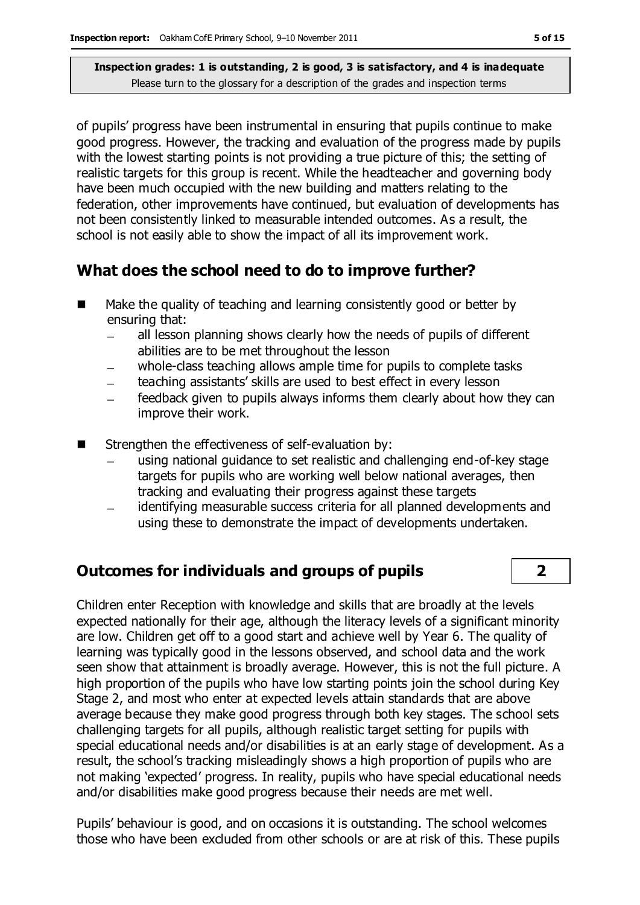of pupils' progress have been instrumental in ensuring that pupils continue to make good progress. However, the tracking and evaluation of the progress made by pupils with the lowest starting points is not providing a true picture of this; the setting of realistic targets for this group is recent. While the headteacher and governing body have been much occupied with the new building and matters relating to the federation, other improvements have continued, but evaluation of developments has not been consistently linked to measurable intended outcomes. As a result, the school is not easily able to show the impact of all its improvement work.

### **What does the school need to do to improve further?**

- Make the quality of teaching and learning consistently good or better by ensuring that:
	- all lesson planning shows clearly how the needs of pupils of different abilities are to be met throughout the lesson
	- whole-class teaching allows ample time for pupils to complete tasks
	- teaching assistants' skills are used to best effect in every lesson
	- feedback given to pupils always informs them clearly about how they can improve their work.
- Strengthen the effectiveness of self-evaluation by:
	- using national guidance to set realistic and challenging end-of-key stage targets for pupils who are working well below national averages, then tracking and evaluating their progress against these targets
	- identifying measurable success criteria for all planned developments and using these to demonstrate the impact of developments undertaken.

### **Outcomes for individuals and groups of pupils 2**

Children enter Reception with knowledge and skills that are broadly at the levels expected nationally for their age, although the literacy levels of a significant minority are low. Children get off to a good start and achieve well by Year 6. The quality of learning was typically good in the lessons observed, and school data and the work seen show that attainment is broadly average. However, this is not the full picture. A high proportion of the pupils who have low starting points join the school during Key Stage 2, and most who enter at expected levels attain standards that are above average because they make good progress through both key stages. The school sets challenging targets for all pupils, although realistic target setting for pupils with special educational needs and/or disabilities is at an early stage of development. As a result, the school's tracking misleadingly shows a high proportion of pupils who are not making 'expected' progress. In reality, pupils who have special educational needs and/or disabilities make good progress because their needs are met well.

Pupils' behaviour is good, and on occasions it is outstanding. The school welcomes those who have been excluded from other schools or are at risk of this. These pupils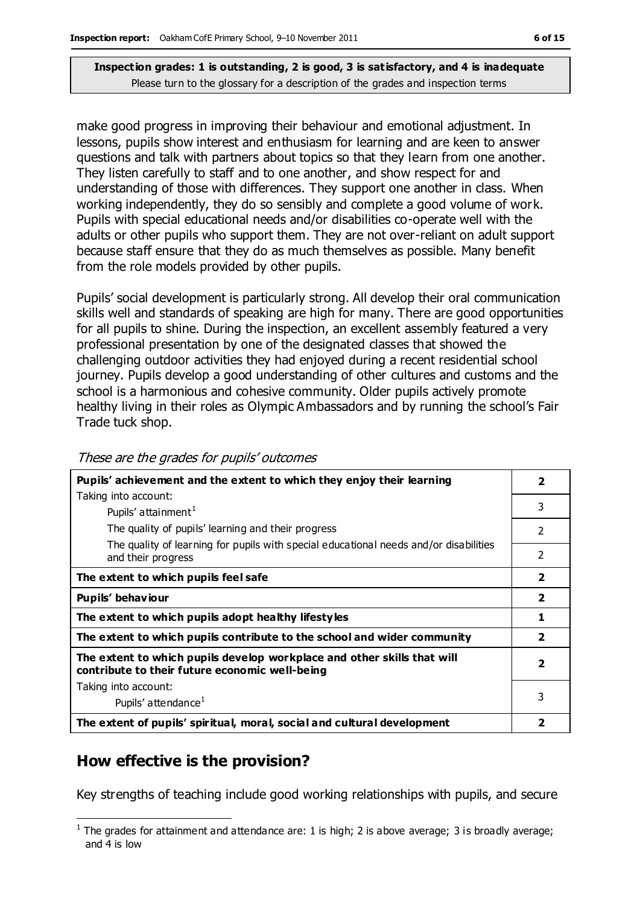make good progress in improving their behaviour and emotional adjustment. In lessons, pupils show interest and enthusiasm for learning and are keen to answer questions and talk with partners about topics so that they learn from one another. They listen carefully to staff and to one another, and show respect for and understanding of those with differences. They support one another in class. When working independently, they do so sensibly and complete a good volume of work. Pupils with special educational needs and/or disabilities co-operate well with the adults or other pupils who support them. They are not over-reliant on adult support because staff ensure that they do as much themselves as possible. Many benefit from the role models provided by other pupils.

Pupils' social development is particularly strong. All develop their oral communication skills well and standards of speaking are high for many. There are good opportunities for all pupils to shine. During the inspection, an excellent assembly featured a very professional presentation by one of the designated classes that showed the challenging outdoor activities they had enjoyed during a recent residential school journey. Pupils develop a good understanding of other cultures and customs and the school is a harmonious and cohesive community. Older pupils actively promote healthy living in their roles as Olympic Ambassadors and by running the school's Fair Trade tuck shop.

| Pupils' achievement and the extent to which they enjoy their learning                                                     |                         |
|---------------------------------------------------------------------------------------------------------------------------|-------------------------|
| Taking into account:                                                                                                      | 3                       |
| Pupils' attainment <sup>1</sup>                                                                                           |                         |
| The quality of pupils' learning and their progress                                                                        | 2                       |
| The quality of learning for pupils with special educational needs and/or disabilities<br>and their progress               | 2                       |
| The extent to which pupils feel safe                                                                                      | $\overline{\mathbf{2}}$ |
| Pupils' behaviour                                                                                                         | $\overline{\mathbf{2}}$ |
| The extent to which pupils adopt healthy lifestyles                                                                       | 1                       |
| The extent to which pupils contribute to the school and wider community                                                   | $\overline{\mathbf{2}}$ |
| The extent to which pupils develop workplace and other skills that will<br>contribute to their future economic well-being | $\overline{\mathbf{2}}$ |
| Taking into account:                                                                                                      |                         |
| Pupils' attendance <sup>1</sup>                                                                                           | 3                       |
| The extent of pupils' spiritual, moral, social and cultural development                                                   | 2                       |

#### These are the grades for pupils' outcomes

#### **How effective is the provision?**

 $\overline{a}$ 

Key strengths of teaching include good working relationships with pupils, and secure

<sup>&</sup>lt;sup>1</sup> The grades for attainment and attendance are: 1 is high; 2 is above average; 3 is broadly average; and 4 is low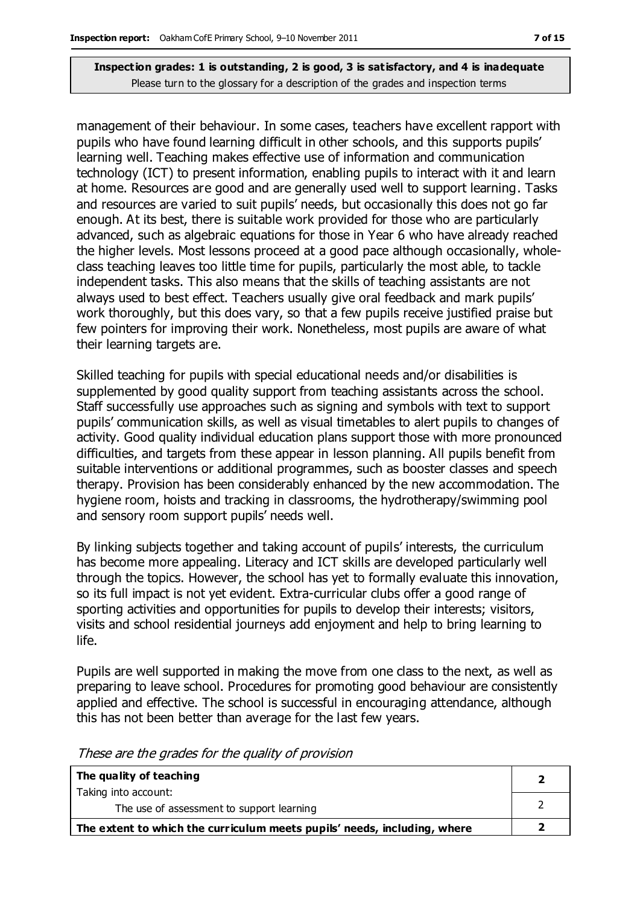management of their behaviour. In some cases, teachers have excellent rapport with pupils who have found learning difficult in other schools, and this supports pupils' learning well. Teaching makes effective use of information and communication technology (ICT) to present information, enabling pupils to interact with it and learn at home. Resources are good and are generally used well to support learning. Tasks and resources are varied to suit pupils' needs, but occasionally this does not go far enough. At its best, there is suitable work provided for those who are particularly advanced, such as algebraic equations for those in Year 6 who have already reached the higher levels. Most lessons proceed at a good pace although occasionally, wholeclass teaching leaves too little time for pupils, particularly the most able, to tackle independent tasks. This also means that the skills of teaching assistants are not always used to best effect. Teachers usually give oral feedback and mark pupils' work thoroughly, but this does vary, so that a few pupils receive justified praise but few pointers for improving their work. Nonetheless, most pupils are aware of what their learning targets are.

Skilled teaching for pupils with special educational needs and/or disabilities is supplemented by good quality support from teaching assistants across the school. Staff successfully use approaches such as signing and symbols with text to support pupils' communication skills, as well as visual timetables to alert pupils to changes of activity. Good quality individual education plans support those with more pronounced difficulties, and targets from these appear in lesson planning. All pupils benefit from suitable interventions or additional programmes, such as booster classes and speech therapy. Provision has been considerably enhanced by the new accommodation. The hygiene room, hoists and tracking in classrooms, the hydrotherapy/swimming pool and sensory room support pupils' needs well.

By linking subjects together and taking account of pupils' interests, the curriculum has become more appealing. Literacy and ICT skills are developed particularly well through the topics. However, the school has yet to formally evaluate this innovation, so its full impact is not yet evident. Extra-curricular clubs offer a good range of sporting activities and opportunities for pupils to develop their interests; visitors, visits and school residential journeys add enjoyment and help to bring learning to life.

Pupils are well supported in making the move from one class to the next, as well as preparing to leave school. Procedures for promoting good behaviour are consistently applied and effective. The school is successful in encouraging attendance, although this has not been better than average for the last few years.

| The quality of teaching                                                  |  |
|--------------------------------------------------------------------------|--|
| Taking into account:                                                     |  |
| The use of assessment to support learning                                |  |
| The extent to which the curriculum meets pupils' needs, including, where |  |

These are the grades for the quality of provision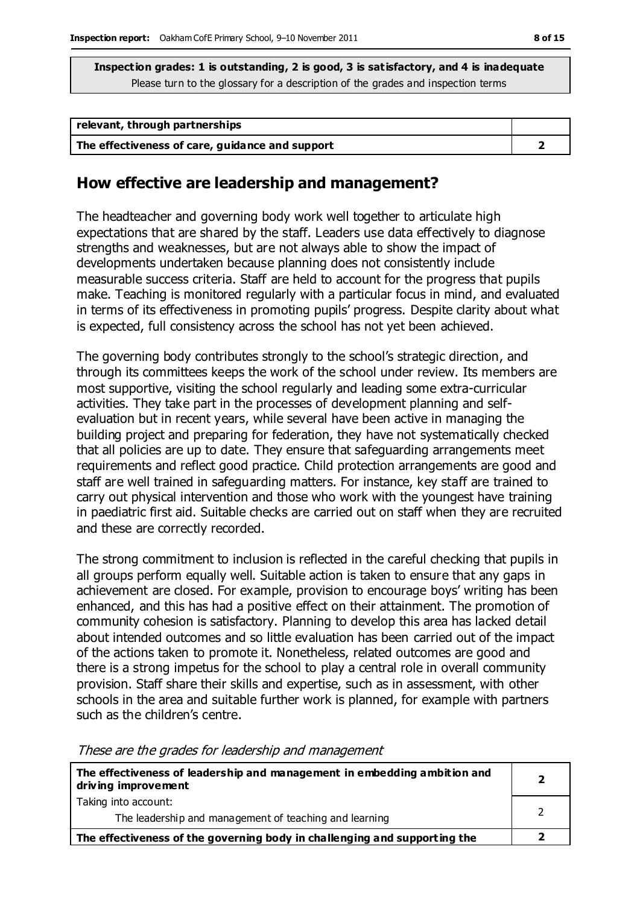| relevant, through partnerships                  |  |
|-------------------------------------------------|--|
| The effectiveness of care, guidance and support |  |

#### **How effective are leadership and management?**

The headteacher and governing body work well together to articulate high expectations that are shared by the staff. Leaders use data effectively to diagnose strengths and weaknesses, but are not always able to show the impact of developments undertaken because planning does not consistently include measurable success criteria. Staff are held to account for the progress that pupils make. Teaching is monitored regularly with a particular focus in mind, and evaluated in terms of its effectiveness in promoting pupils' progress. Despite clarity about what is expected, full consistency across the school has not yet been achieved.

The governing body contributes strongly to the school's strategic direction, and through its committees keeps the work of the school under review. Its members are most supportive, visiting the school regularly and leading some extra-curricular activities. They take part in the processes of development planning and selfevaluation but in recent years, while several have been active in managing the building project and preparing for federation, they have not systematically checked that all policies are up to date. They ensure that safeguarding arrangements meet requirements and reflect good practice. Child protection arrangements are good and staff are well trained in safeguarding matters. For instance, key staff are trained to carry out physical intervention and those who work with the youngest have training in paediatric first aid. Suitable checks are carried out on staff when they are recruited and these are correctly recorded.

The strong commitment to inclusion is reflected in the careful checking that pupils in all groups perform equally well. Suitable action is taken to ensure that any gaps in achievement are closed. For example, provision to encourage boys' writing has been enhanced, and this has had a positive effect on their attainment. The promotion of community cohesion is satisfactory. Planning to develop this area has lacked detail about intended outcomes and so little evaluation has been carried out of the impact of the actions taken to promote it. Nonetheless, related outcomes are good and there is a strong impetus for the school to play a central role in overall community provision. Staff share their skills and expertise, such as in assessment, with other schools in the area and suitable further work is planned, for example with partners such as the children's centre.

**The effectiveness of leadership and management in embedding ambition and driving improvement** Taking into account: The leadership and management of teaching and learning **2** 2 **The effectiveness of the governing body in challenging and supporting the 2**

These are the grades for leadership and management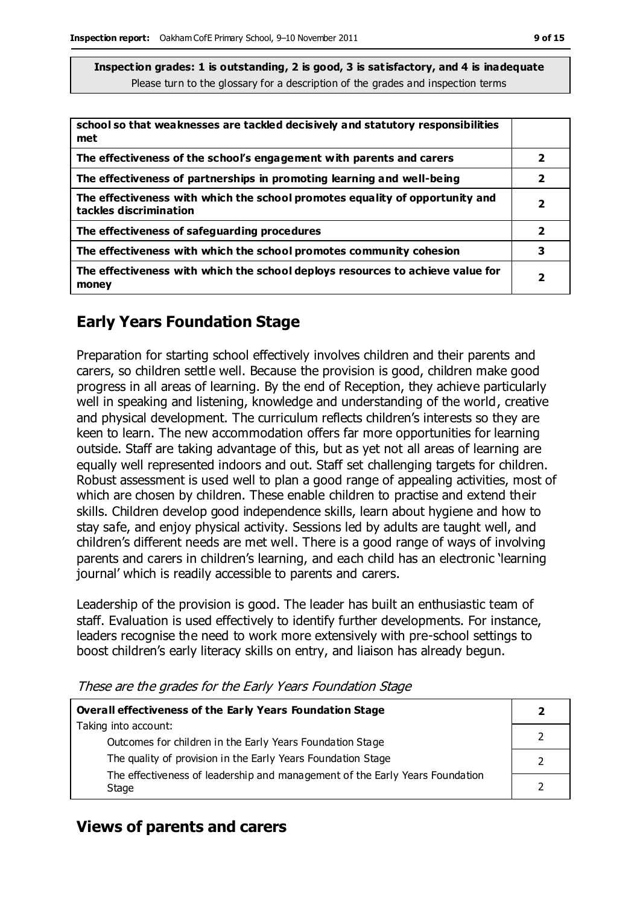| school so that weaknesses are tackled decisively and statutory responsibilities<br>met                 |                         |
|--------------------------------------------------------------------------------------------------------|-------------------------|
| The effectiveness of the school's engagement with parents and carers                                   | 2                       |
| The effectiveness of partnerships in promoting learning and well-being                                 | 2                       |
| The effectiveness with which the school promotes equality of opportunity and<br>tackles discrimination | 2                       |
| The effectiveness of safeguarding procedures                                                           | $\overline{\mathbf{2}}$ |
| The effectiveness with which the school promotes community cohesion                                    | 3                       |
| The effectiveness with which the school deploys resources to achieve value for<br>money                | 2                       |

### **Early Years Foundation Stage**

Preparation for starting school effectively involves children and their parents and carers, so children settle well. Because the provision is good, children make good progress in all areas of learning. By the end of Reception, they achieve particularly well in speaking and listening, knowledge and understanding of the world, creative and physical development. The curriculum reflects children's interests so they are keen to learn. The new accommodation offers far more opportunities for learning outside. Staff are taking advantage of this, but as yet not all areas of learning are equally well represented indoors and out. Staff set challenging targets for children. Robust assessment is used well to plan a good range of appealing activities, most of which are chosen by children. These enable children to practise and extend their skills. Children develop good independence skills, learn about hygiene and how to stay safe, and enjoy physical activity. Sessions led by adults are taught well, and children's different needs are met well. There is a good range of ways of involving parents and carers in children's learning, and each child has an electronic 'learning journal' which is readily accessible to parents and carers.

Leadership of the provision is good. The leader has built an enthusiastic team of staff. Evaluation is used effectively to identify further developments. For instance, leaders recognise the need to work more extensively with pre-school settings to boost children's early literacy skills on entry, and liaison has already begun.

These are the grades for the Early Years Foundation Stage

| <b>Overall effectiveness of the Early Years Foundation Stage</b>             |  |
|------------------------------------------------------------------------------|--|
| Taking into account:                                                         |  |
| Outcomes for children in the Early Years Foundation Stage                    |  |
| The quality of provision in the Early Years Foundation Stage                 |  |
| The effectiveness of leadership and management of the Early Years Foundation |  |
| Stage                                                                        |  |

#### **Views of parents and carers**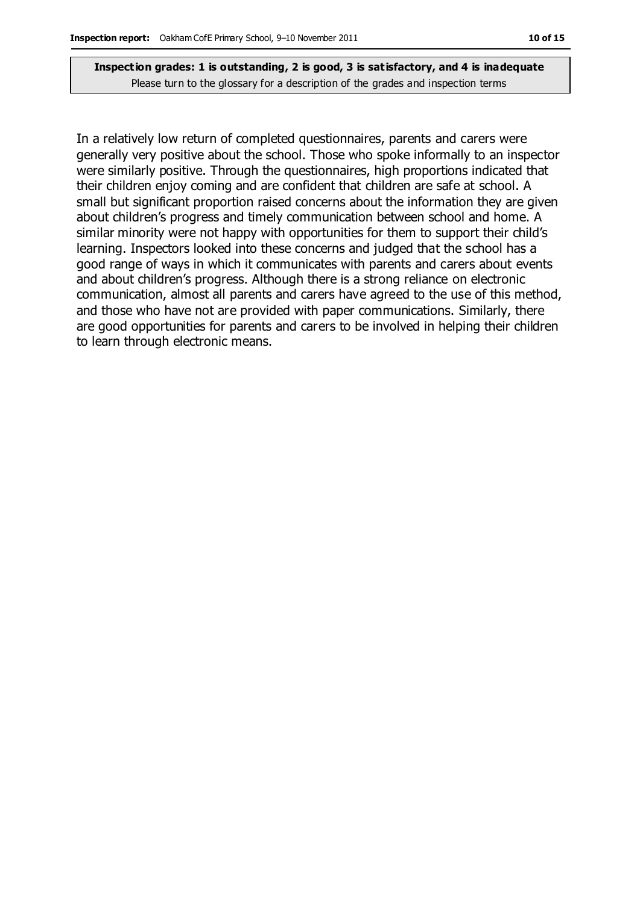In a relatively low return of completed questionnaires, parents and carers were generally very positive about the school. Those who spoke informally to an inspector were similarly positive. Through the questionnaires, high proportions indicated that their children enjoy coming and are confident that children are safe at school. A small but significant proportion raised concerns about the information they are given about children's progress and timely communication between school and home. A similar minority were not happy with opportunities for them to support their child's learning. Inspectors looked into these concerns and judged that the school has a good range of ways in which it communicates with parents and carers about events and about children's progress. Although there is a strong reliance on electronic communication, almost all parents and carers have agreed to the use of this method, and those who have not are provided with paper communications. Similarly, there are good opportunities for parents and carers to be involved in helping their children to learn through electronic means.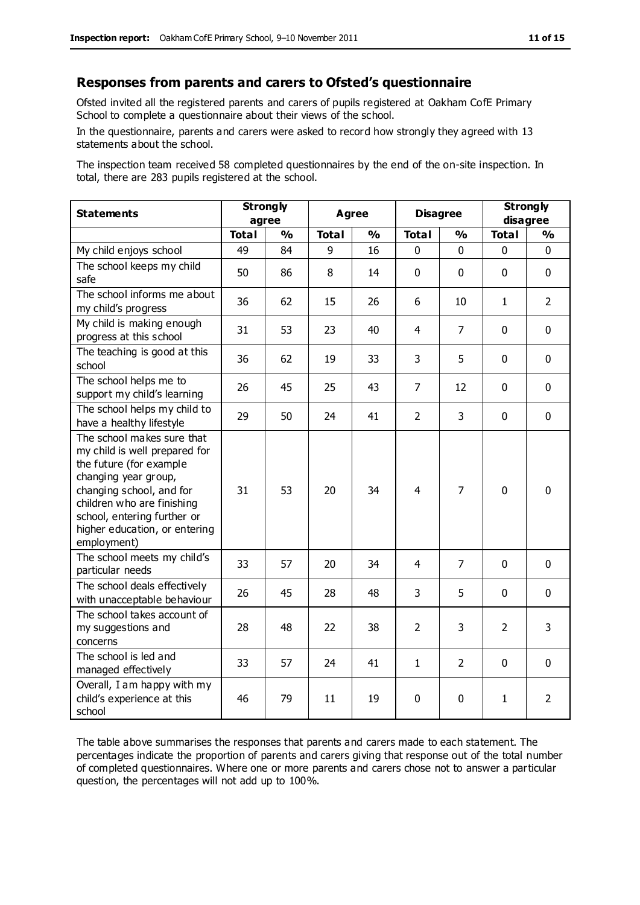#### **Responses from parents and carers to Ofsted's questionnaire**

Ofsted invited all the registered parents and carers of pupils registered at Oakham CofE Primary School to complete a questionnaire about their views of the school.

In the questionnaire, parents and carers were asked to record how strongly they agreed with 13 statements about the school.

The inspection team received 58 completed questionnaires by the end of the on-site inspection. In total, there are 283 pupils registered at the school.

| <b>Statements</b>                                                                                                                                                                                                                                       | <b>Strongly</b><br>agree |               | <b>Agree</b> |               | <b>Disagree</b> |                | <b>Strongly</b><br>disagree |                |
|---------------------------------------------------------------------------------------------------------------------------------------------------------------------------------------------------------------------------------------------------------|--------------------------|---------------|--------------|---------------|-----------------|----------------|-----------------------------|----------------|
|                                                                                                                                                                                                                                                         | <b>Total</b>             | $\frac{1}{2}$ | <b>Total</b> | $\frac{1}{2}$ | <b>Total</b>    | $\frac{1}{2}$  | <b>Total</b>                | $\frac{1}{2}$  |
| My child enjoys school                                                                                                                                                                                                                                  | 49                       | 84            | 9            | 16            | 0               | $\mathbf{0}$   | $\mathbf 0$                 | $\mathbf 0$    |
| The school keeps my child<br>safe                                                                                                                                                                                                                       | 50                       | 86            | 8            | 14            | $\mathbf{0}$    | $\mathbf{0}$   | $\mathbf 0$                 | $\mathbf 0$    |
| The school informs me about<br>my child's progress                                                                                                                                                                                                      | 36                       | 62            | 15           | 26            | 6               | 10             | $\mathbf{1}$                | $\overline{2}$ |
| My child is making enough<br>progress at this school                                                                                                                                                                                                    | 31                       | 53            | 23           | 40            | 4               | $\overline{7}$ | $\mathbf 0$                 | $\mathbf 0$    |
| The teaching is good at this<br>school                                                                                                                                                                                                                  | 36                       | 62            | 19           | 33            | 3               | 5              | $\mathbf 0$                 | $\mathbf 0$    |
| The school helps me to<br>support my child's learning                                                                                                                                                                                                   | 26                       | 45            | 25           | 43            | $\overline{7}$  | 12             | $\Omega$                    | $\mathbf 0$    |
| The school helps my child to<br>have a healthy lifestyle                                                                                                                                                                                                | 29                       | 50            | 24           | 41            | $\overline{2}$  | $\overline{3}$ | $\mathbf 0$                 | $\mathbf 0$    |
| The school makes sure that<br>my child is well prepared for<br>the future (for example<br>changing year group,<br>changing school, and for<br>children who are finishing<br>school, entering further or<br>higher education, or entering<br>employment) | 31                       | 53            | 20           | 34            | $\overline{4}$  | $\overline{7}$ | $\mathbf{0}$                | $\mathbf 0$    |
| The school meets my child's<br>particular needs                                                                                                                                                                                                         | 33                       | 57            | 20           | 34            | 4               | $\overline{7}$ | $\mathbf 0$                 | $\mathbf 0$    |
| The school deals effectively<br>with unacceptable behaviour                                                                                                                                                                                             | 26                       | 45            | 28           | 48            | 3               | 5              | $\mathbf 0$                 | $\mathbf 0$    |
| The school takes account of<br>my suggestions and<br>concerns                                                                                                                                                                                           | 28                       | 48            | 22           | 38            | $\overline{2}$  | 3              | $\overline{2}$              | 3              |
| The school is led and<br>managed effectively                                                                                                                                                                                                            | 33                       | 57            | 24           | 41            | $\mathbf{1}$    | $\overline{2}$ | $\mathbf 0$                 | $\mathbf 0$    |
| Overall, I am happy with my<br>child's experience at this<br>school                                                                                                                                                                                     | 46                       | 79            | 11           | 19            | 0               | 0              | $\mathbf{1}$                | $\overline{2}$ |

The table above summarises the responses that parents and carers made to each statement. The percentages indicate the proportion of parents and carers giving that response out of the total number of completed questionnaires. Where one or more parents and carers chose not to answer a particular question, the percentages will not add up to 100%.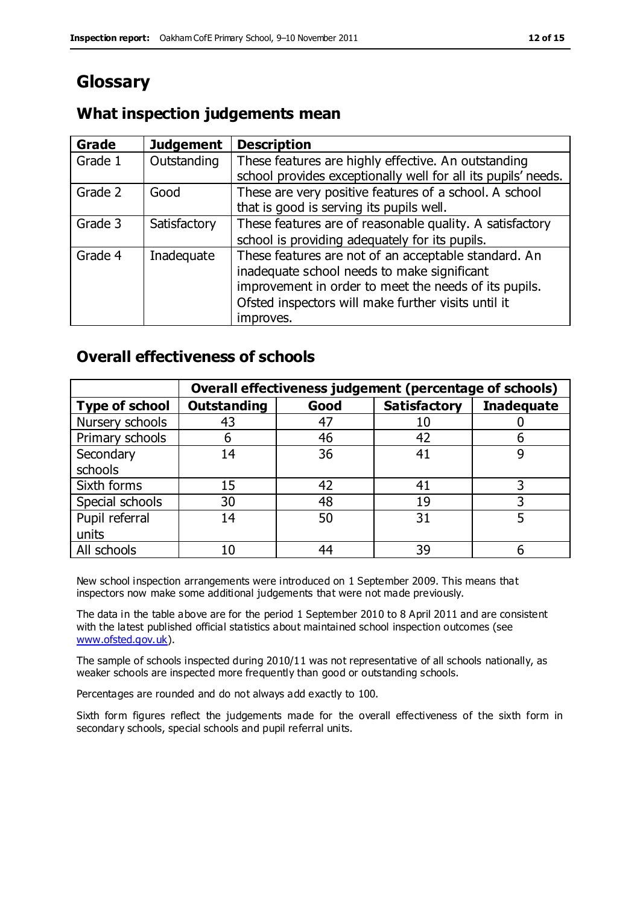### **Glossary**

#### **What inspection judgements mean**

| Grade   | <b>Judgement</b> | <b>Description</b>                                            |
|---------|------------------|---------------------------------------------------------------|
| Grade 1 | Outstanding      | These features are highly effective. An outstanding           |
|         |                  | school provides exceptionally well for all its pupils' needs. |
| Grade 2 | Good             | These are very positive features of a school. A school        |
|         |                  | that is good is serving its pupils well.                      |
| Grade 3 | Satisfactory     | These features are of reasonable quality. A satisfactory      |
|         |                  | school is providing adequately for its pupils.                |
| Grade 4 | Inadequate       | These features are not of an acceptable standard. An          |
|         |                  | inadequate school needs to make significant                   |
|         |                  | improvement in order to meet the needs of its pupils.         |
|         |                  | Ofsted inspectors will make further visits until it           |
|         |                  | improves.                                                     |

#### **Overall effectiveness of schools**

|                       | Overall effectiveness judgement (percentage of schools) |      |                     |                   |
|-----------------------|---------------------------------------------------------|------|---------------------|-------------------|
| <b>Type of school</b> | <b>Outstanding</b>                                      | Good | <b>Satisfactory</b> | <b>Inadequate</b> |
| Nursery schools       | 43                                                      | 47   | 10                  |                   |
| Primary schools       | 6                                                       | 46   | 42                  |                   |
| Secondary             | 14                                                      | 36   | 41                  |                   |
| schools               |                                                         |      |                     |                   |
| Sixth forms           | 15                                                      | 42   | 41                  | 3                 |
| Special schools       | 30                                                      | 48   | 19                  |                   |
| Pupil referral        | 14                                                      | 50   | 31                  |                   |
| units                 |                                                         |      |                     |                   |
| All schools           | 10                                                      | 44   | 39                  |                   |

New school inspection arrangements were introduced on 1 September 2009. This means that inspectors now make some additional judgements that were not made previously.

The data in the table above are for the period 1 September 2010 to 8 April 2011 and are consistent with the latest published official statistics about maintained school inspection outcomes (see [www.ofsted.gov.uk\)](http://www.ofsted.gov.uk/).

The sample of schools inspected during 2010/11 was not representative of all schools nationally, as weaker schools are inspected more frequently than good or outstanding schools.

Percentages are rounded and do not always add exactly to 100.

Sixth form figures reflect the judgements made for the overall effectiveness of the sixth form in secondary schools, special schools and pupil referral units.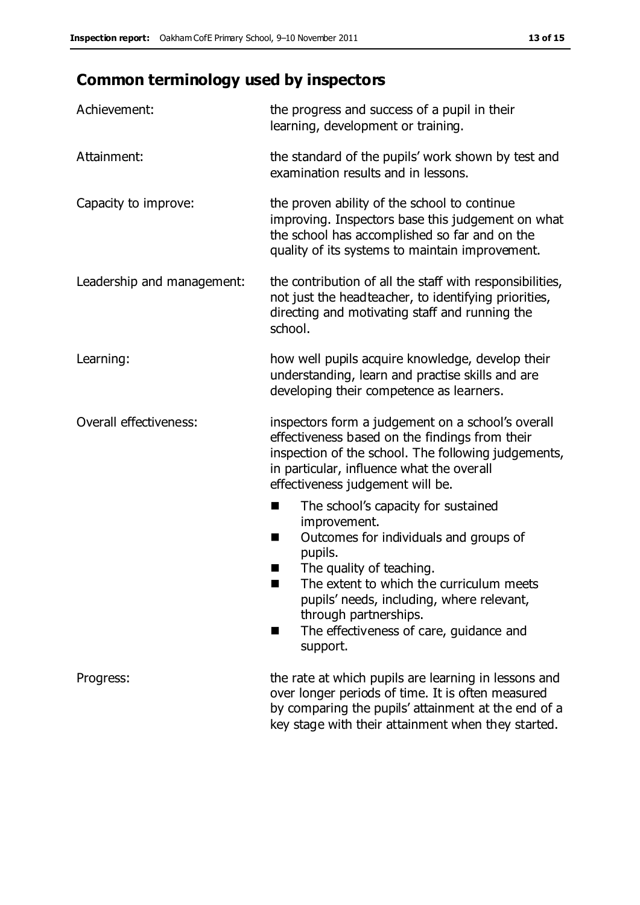## **Common terminology used by inspectors**

| Achievement:               | the progress and success of a pupil in their<br>learning, development or training.                                                                                                                                                                                                                                           |  |  |
|----------------------------|------------------------------------------------------------------------------------------------------------------------------------------------------------------------------------------------------------------------------------------------------------------------------------------------------------------------------|--|--|
| Attainment:                | the standard of the pupils' work shown by test and<br>examination results and in lessons.                                                                                                                                                                                                                                    |  |  |
| Capacity to improve:       | the proven ability of the school to continue<br>improving. Inspectors base this judgement on what<br>the school has accomplished so far and on the<br>quality of its systems to maintain improvement.                                                                                                                        |  |  |
| Leadership and management: | the contribution of all the staff with responsibilities,<br>not just the headteacher, to identifying priorities,<br>directing and motivating staff and running the<br>school.                                                                                                                                                |  |  |
| Learning:                  | how well pupils acquire knowledge, develop their<br>understanding, learn and practise skills and are<br>developing their competence as learners.                                                                                                                                                                             |  |  |
| Overall effectiveness:     | inspectors form a judgement on a school's overall<br>effectiveness based on the findings from their<br>inspection of the school. The following judgements,<br>in particular, influence what the overall<br>effectiveness judgement will be.                                                                                  |  |  |
|                            | The school's capacity for sustained<br>×<br>improvement.<br>Outcomes for individuals and groups of<br>п<br>pupils.<br>The quality of teaching.<br>The extent to which the curriculum meets<br>pupils' needs, including, where relevant,<br>through partnerships.<br>The effectiveness of care, guidance and<br>ш<br>support. |  |  |
| Progress:                  | the rate at which pupils are learning in lessons and<br>over longer periods of time. It is often measured<br>by comparing the pupils' attainment at the end of a<br>key stage with their attainment when they started.                                                                                                       |  |  |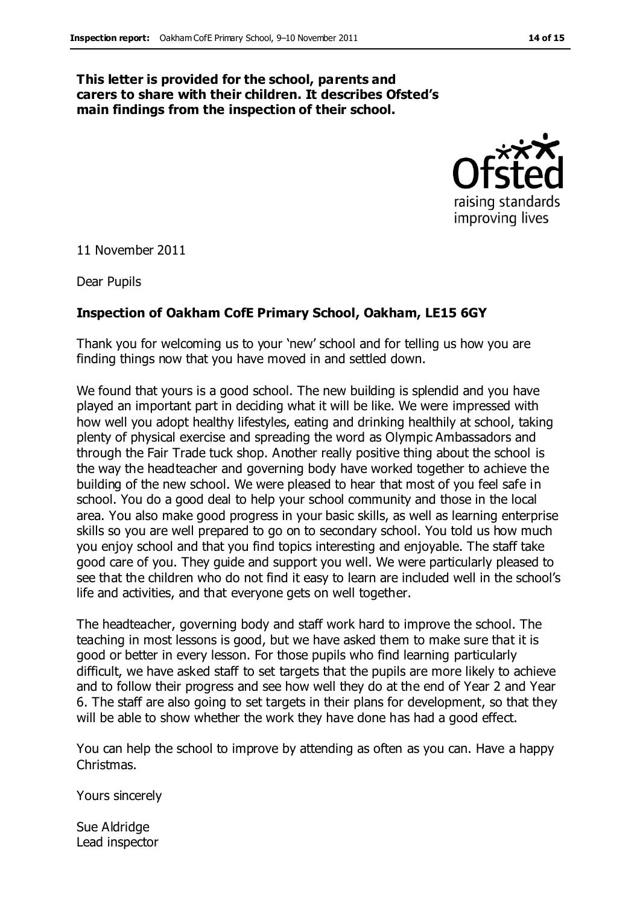#### **This letter is provided for the school, parents and carers to share with their children. It describes Ofsted's main findings from the inspection of their school.**



11 November 2011

Dear Pupils

#### **Inspection of Oakham CofE Primary School, Oakham, LE15 6GY**

Thank you for welcoming us to your 'new' school and for telling us how you are finding things now that you have moved in and settled down.

We found that yours is a good school. The new building is splendid and you have played an important part in deciding what it will be like. We were impressed with how well you adopt healthy lifestyles, eating and drinking healthily at school, taking plenty of physical exercise and spreading the word as Olympic Ambassadors and through the Fair Trade tuck shop. Another really positive thing about the school is the way the headteacher and governing body have worked together to achieve the building of the new school. We were pleased to hear that most of you feel safe in school. You do a good deal to help your school community and those in the local area. You also make good progress in your basic skills, as well as learning enterprise skills so you are well prepared to go on to secondary school. You told us how much you enjoy school and that you find topics interesting and enjoyable. The staff take good care of you. They guide and support you well. We were particularly pleased to see that the children who do not find it easy to learn are included well in the school's life and activities, and that everyone gets on well together.

The headteacher, governing body and staff work hard to improve the school. The teaching in most lessons is good, but we have asked them to make sure that it is good or better in every lesson. For those pupils who find learning particularly difficult, we have asked staff to set targets that the pupils are more likely to achieve and to follow their progress and see how well they do at the end of Year 2 and Year 6. The staff are also going to set targets in their plans for development, so that they will be able to show whether the work they have done has had a good effect.

You can help the school to improve by attending as often as you can. Have a happy Christmas.

Yours sincerely

Sue Aldridge Lead inspector